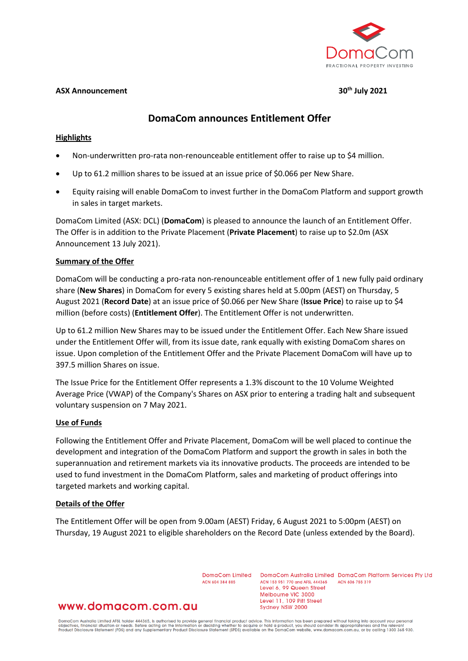

### **ASX Announcement 30th July 2021**

# **DomaCom announces Entitlement Offer**

## **Highlights**

- Non-underwritten pro-rata non-renounceable entitlement offer to raise up to \$4 million.
- Up to 61.2 million shares to be issued at an issue price of \$0.066 per New Share.
- Equity raising will enable DomaCom to invest further in the DomaCom Platform and support growth in sales in target markets.

DomaCom Limited (ASX: DCL) (**DomaCom**) is pleased to announce the launch of an Entitlement Offer. The Offer is in addition to the Private Placement (**Private Placement**) to raise up to \$2.0m (ASX Announcement 13 July 2021).

### **Summary of the Offer**

DomaCom will be conducting a pro-rata non-renounceable entitlement offer of 1 new fully paid ordinary share (**New Shares**) in DomaCom for every 5 existing shares held at 5.00pm (AEST) on Thursday, 5 August 2021 (**Record Date**) at an issue price of \$0.066 per New Share (**Issue Price**) to raise up to \$4 million (before costs) (**Entitlement Offer**). The Entitlement Offer is not underwritten.

Up to 61.2 million New Shares may to be issued under the Entitlement Offer. Each New Share issued under the Entitlement Offer will, from its issue date, rank equally with existing DomaCom shares on issue. Upon completion of the Entitlement Offer and the Private Placement DomaCom will have up to 397.5 million Shares on issue.

The Issue Price for the Entitlement Offer represents a 1.3% discount to the 10 Volume Weighted Average Price (VWAP) of the Company's Shares on ASX prior to entering a trading halt and subsequent voluntary suspension on 7 May 2021.

### **Use of Funds**

Following the Entitlement Offer and Private Placement, DomaCom will be well placed to continue the development and integration of the DomaCom Platform and support the growth in sales in both the superannuation and retirement markets via its innovative products. The proceeds are intended to be used to fund investment in the DomaCom Platform, sales and marketing of product offerings into targeted markets and working capital.

### **Details of the Offer**

The Entitlement Offer will be open from 9.00am (AEST) Friday, 6 August 2021 to 5:00pm (AEST) on Thursday, 19 August 2021 to eligible shareholders on the Record Date (unless extended by the Board).

> DomaCom Limited ACN 604 384 885

DomaCom Australia Limited DomaCom Platform Services Pty Ltd ACN 153 951 770 and AFSL 444365 ACN 606 755 319 Level 6, 99 Queen Street Melbourne VIC 3000 Level 11, 109 Pitt Street Sydney NSW 2000

# www.domacom.com.au

DomaCom Australia Limited AFSL holder 444365, is authorised to provide general financial product advice. This information has been prepared without taking into account your personal<br>objectives, financial situation or needs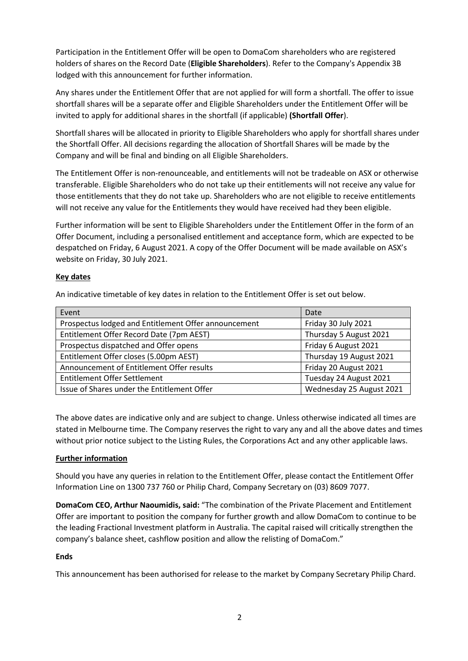Participation in the Entitlement Offer will be open to DomaCom shareholders who are registered holders of shares on the Record Date (**Eligible Shareholders**). Refer to the Company's Appendix 3B lodged with this announcement for further information.

Any shares under the Entitlement Offer that are not applied for will form a shortfall. The offer to issue shortfall shares will be a separate offer and Eligible Shareholders under the Entitlement Offer will be invited to apply for additional shares in the shortfall (if applicable) **(Shortfall Offer**).

Shortfall shares will be allocated in priority to Eligible Shareholders who apply for shortfall shares under the Shortfall Offer. All decisions regarding the allocation of Shortfall Shares will be made by the Company and will be final and binding on all Eligible Shareholders.

The Entitlement Offer is non-renounceable, and entitlements will not be tradeable on ASX or otherwise transferable. Eligible Shareholders who do not take up their entitlements will not receive any value for those entitlements that they do not take up. Shareholders who are not eligible to receive entitlements will not receive any value for the Entitlements they would have received had they been eligible.

Further information will be sent to Eligible Shareholders under the Entitlement Offer in the form of an Offer Document, including a personalised entitlement and acceptance form, which are expected to be despatched on Friday, 6 August 2021. A copy of the Offer Document will be made available on ASX's website on Friday, 30 July 2021.

## **Key dates**

An indicative timetable of key dates in relation to the Entitlement Offer is set out below.

| Event                                                | Date                     |
|------------------------------------------------------|--------------------------|
| Prospectus lodged and Entitlement Offer announcement | Friday 30 July 2021      |
| Entitlement Offer Record Date (7pm AEST)             | Thursday 5 August 2021   |
| Prospectus dispatched and Offer opens                | Friday 6 August 2021     |
| Entitlement Offer closes (5.00pm AEST)               | Thursday 19 August 2021  |
| Announcement of Entitlement Offer results            | Friday 20 August 2021    |
| <b>Entitlement Offer Settlement</b>                  | Tuesday 24 August 2021   |
| Issue of Shares under the Entitlement Offer          | Wednesday 25 August 2021 |

The above dates are indicative only and are subject to change. Unless otherwise indicated all times are stated in Melbourne time. The Company reserves the right to vary any and all the above dates and times without prior notice subject to the Listing Rules, the Corporations Act and any other applicable laws.

# **Further information**

Should you have any queries in relation to the Entitlement Offer, please contact the Entitlement Offer Information Line on 1300 737 760 or Philip Chard, Company Secretary on (03) 8609 7077.

**DomaCom CEO, Arthur Naoumidis, said:** "The combination of the Private Placement and Entitlement Offer are important to position the company for further growth and allow DomaCom to continue to be the leading Fractional Investment platform in Australia. The capital raised will critically strengthen the company's balance sheet, cashflow position and allow the relisting of DomaCom."

### **Ends**

This announcement has been authorised for release to the market by Company Secretary Philip Chard.